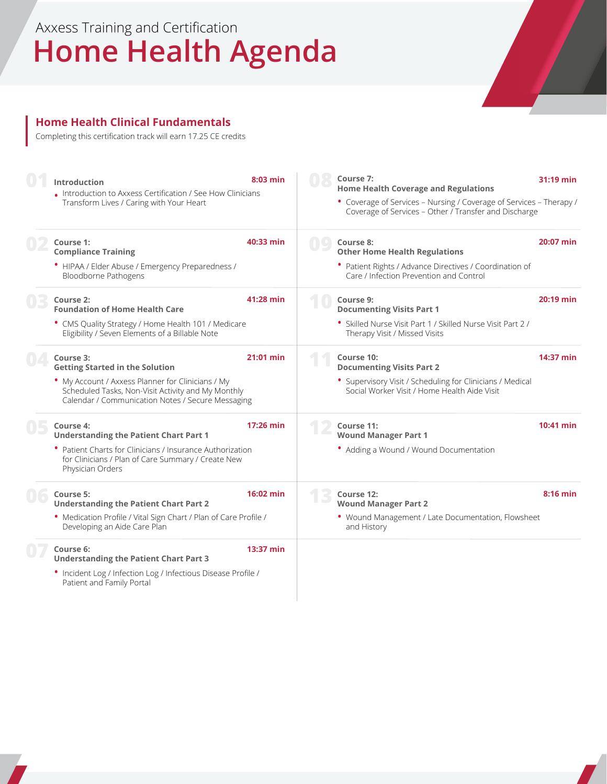# **Home Health Agenda** Axxess Training and Certification

#### **Home Health Clinical Fundamentals**

Completing this certification track will earn 17.25 CE credits

| Introduction                                                                                                                                                 | $8:03$ min          | Course 7:<br><b>Home Health Coverage and Regulations</b>                                                                     | 31:19 min   |
|--------------------------------------------------------------------------------------------------------------------------------------------------------------|---------------------|------------------------------------------------------------------------------------------------------------------------------|-------------|
| . Introduction to Axxess Certification / See How Clinicians<br>Transform Lives / Caring with Your Heart                                                      |                     | • Coverage of Services - Nursing / Coverage of Services - Therapy /<br>Coverage of Services - Other / Transfer and Discharge |             |
| Course 1:<br><b>Compliance Training</b>                                                                                                                      | 40:33 min           | Course 8:<br><b>Other Home Health Regulations</b>                                                                            | 20:07 min   |
| • HIPAA / Elder Abuse / Emergency Preparedness /<br>Bloodborne Pathogens                                                                                     |                     | • Patient Rights / Advance Directives / Coordination of<br>Care / Infection Prevention and Control                           |             |
| Course 2:<br><b>Foundation of Home Health Care</b>                                                                                                           | 41:28 min           | Course 9:<br><b>Documenting Visits Part 1</b>                                                                                | 20:19 min   |
| • CMS Quality Strategy / Home Health 101 / Medicare<br>Eligibility / Seven Elements of a Billable Note                                                       |                     | • Skilled Nurse Visit Part 1 / Skilled Nurse Visit Part 2 /<br>Therapy Visit / Missed Visits                                 |             |
| Course 3:<br><b>Getting Started in the Solution</b>                                                                                                          | 21:01 min           | Course 10:<br><b>Documenting Visits Part 2</b>                                                                               | 14:37 min   |
| • My Account / Axxess Planner for Clinicians / My<br>Scheduled Tasks, Non-Visit Activity and My Monthly<br>Calendar / Communication Notes / Secure Messaging |                     | • Supervisory Visit / Scheduling for Clinicians / Medical<br>Social Worker Visit / Home Health Aide Visit                    |             |
| Course 4:<br><b>Understanding the Patient Chart Part 1</b>                                                                                                   | $17:26$ min         | Course 11:<br><b>Wound Manager Part 1</b>                                                                                    | $10:41$ min |
| • Patient Charts for Clinicians / Insurance Authorization<br>for Clinicians / Plan of Care Summary / Create New<br>Physician Orders                          |                     | • Adding a Wound / Wound Documentation                                                                                       |             |
| Course 5:<br><b>Understanding the Patient Chart Part 2</b>                                                                                                   | $16:02 \text{ min}$ | Course 12:<br><b>Wound Manager Part 2</b>                                                                                    | $8:16$ min  |
| • Medication Profile / Vital Sign Chart / Plan of Care Profile /<br>Developing an Aide Care Plan                                                             |                     | . Wound Management / Late Documentation, Flowsheet<br>and History                                                            |             |
| Course 6:<br><b>Understanding the Patient Chart Part 3</b>                                                                                                   | 13:37 min           |                                                                                                                              |             |
| • Incident Log / Infection Log / Infectious Disease Profile /<br>Patient and Family Portal                                                                   |                     |                                                                                                                              |             |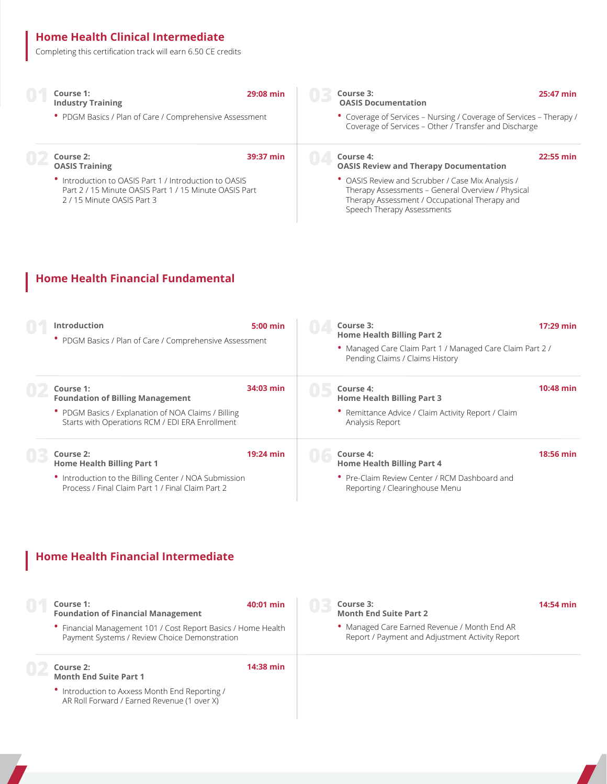#### **Home Health Clinical Intermediate**

Completing this certification track will earn 6.50 CE credits

| Course 1:<br><b>Industry Training</b>                                                                                                      | 29:08 min | Course 3:<br><b>OASIS Documentation</b> |                                                                                                                                                         | 25:47 min |
|--------------------------------------------------------------------------------------------------------------------------------------------|-----------|-----------------------------------------|---------------------------------------------------------------------------------------------------------------------------------------------------------|-----------|
| • PDGM Basics / Plan of Care / Comprehensive Assessment                                                                                    |           |                                         | • Coverage of Services - Nursing / Coverage of Services - Therapy /<br>Coverage of Services - Other / Transfer and Discharge                            |           |
| Course 2:<br><b>OASIS Training</b>                                                                                                         | 39:37 min | Course 4:                               | <b>OASIS Review and Therapy Documentation</b>                                                                                                           | 22:55 min |
| Introduction to OASIS Part 1 / Introduction to OASIS<br>Part 2 / 15 Minute OASIS Part 1 / 15 Minute OASIS Part<br>2/15 Minute OASIS Part 3 |           | Speech Therapy Assessments              | • OASIS Review and Scrubber / Case Mix Analysis /<br>Therapy Assessments - General Overview / Physical<br>Therapy Assessment / Occupational Therapy and |           |
|                                                                                                                                            |           |                                         |                                                                                                                                                         |           |
| Hama Haalth Einancial Eundamantal                                                                                                          |           |                                         |                                                                                                                                                         |           |

| Introduction<br>• PDGM Basics / Plan of Care / Comprehensive Assessment                                    | $5:00$ min | Course 3:<br><b>Home Health Billing Part 2</b><br>• Managed Care Claim Part 1 / Managed Care Claim Part 2 /<br>Pending Claims / Claims History | $17:29$ min |
|------------------------------------------------------------------------------------------------------------|------------|------------------------------------------------------------------------------------------------------------------------------------------------|-------------|
| Course 1:<br><b>Foundation of Billing Management</b>                                                       | 34:03 min  | Course 4:<br><b>Home Health Billing Part 3</b>                                                                                                 | 10:48 min   |
| • PDGM Basics / Explanation of NOA Claims / Billing<br>Starts with Operations RCM / EDI ERA Enrollment     |            | • Remittance Advice / Claim Activity Report / Claim<br>Analysis Report                                                                         |             |
| Course 2:<br><b>Home Health Billing Part 1</b>                                                             | 19:24 min  | Course 4:<br><b>Home Health Billing Part 4</b>                                                                                                 | 18:56 min   |
| • Introduction to the Billing Center / NOA Submission<br>Process / Final Claim Part 1 / Final Claim Part 2 |            | • Pre-Claim Review Center / RCM Dashboard and<br>Reporting / Clearinghouse Menu                                                                |             |

#### **Home Health Financial Intermediate**

AR Roll Forward / Earned Revenue (1 over X)

| Course 1:<br><b>Foundation of Financial Management</b><br>Financial Management 101 / Cost Report Basics / Home Health<br>Payment Systems / Review Choice Demonstration | 40:01 min | Course 3:<br><b>Month End Suite Part 2</b><br>• Managed Care Earned Revenue / Month End AR<br>Report / Payment and Adjustment Activity Report | 14:54 min |
|------------------------------------------------------------------------------------------------------------------------------------------------------------------------|-----------|-----------------------------------------------------------------------------------------------------------------------------------------------|-----------|
| Course 2:<br><b>Month End Suite Part 1</b>                                                                                                                             | 14:38 min |                                                                                                                                               |           |
| • Introduction to Axxess Month End Reporting /                                                                                                                         |           |                                                                                                                                               |           |